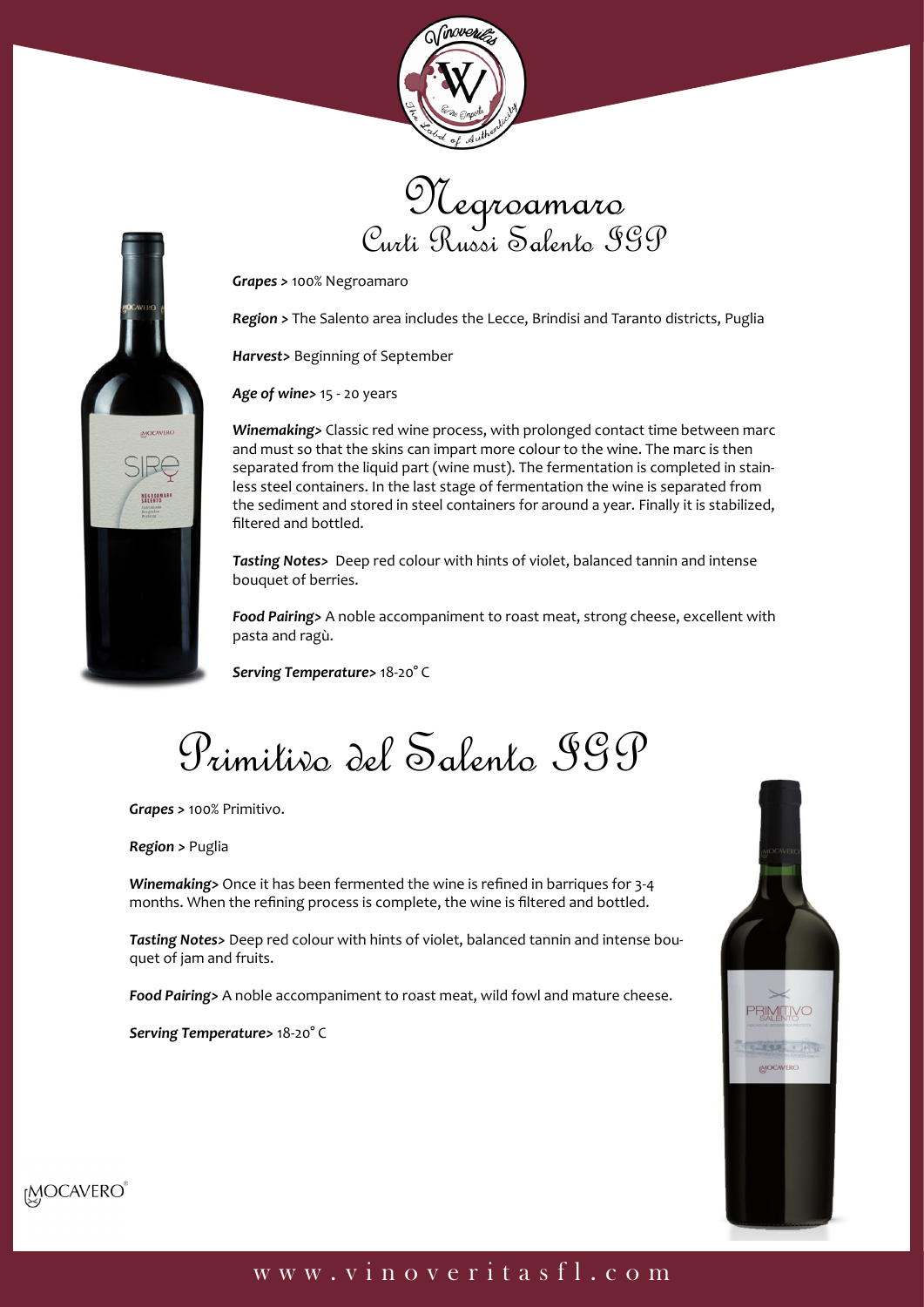





*Grapes >* 100% Negroamaro

*Region >* The Salento area includes the Lecce, Brindisi and Taranto districts, Puglia

*Harvest>* Beginning of September

*Age of wine>* 15 - 20 years

*Winemaking>* Classic red wine process, with prolonged contact time between marc and must so that the skins can impart more colour to the wine. The marc is then separated from the liquid part (wine must). The fermentation is completed in stainless steel containers. In the last stage of fermentation the wine is separated from the sediment and stored in steel containers for around a year. Finally it is stabilized, filtered and bottled.

*Tasting Notes>* Deep red colour with hints of violet, balanced tannin and intense bouquet of berries.

*Food Pairing>* A noble accompaniment to roast meat, strong cheese, excellent with pasta and ragù.

*Serving Temperature>* 18-20° C

Primitivo del Salento IGP

*Grapes >* 100% Primitivo.

*Region >* Puglia

*Winemaking>* Once it has been fermented the wine is refined in barriques for 3-4 months. When the refining process is complete, the wine is filtered and bottled.

*Tasting Notes>* Deep red colour with hints of violet, balanced tannin and intense bouquet of jam and fruits.

*Food Pairing>* A noble accompaniment to roast meat, wild fowl and mature cheese.

*Serving Temperature>* 18-20° C





## www.vinoveritasfl.com